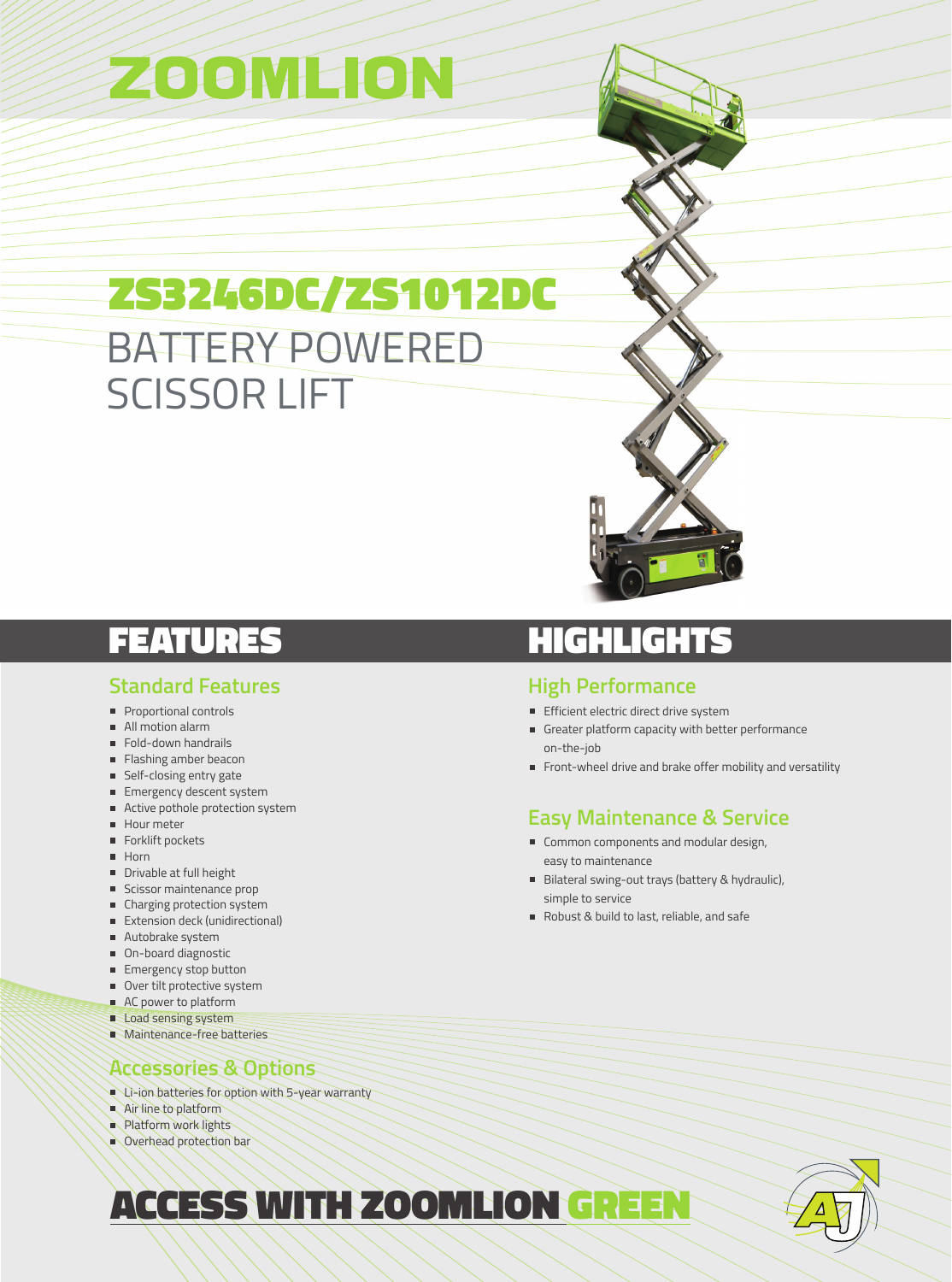# ZOOMLION

## ZS3246DC/ZS1012DC BATTERY POWERED SCISSOR LIFT

### FEATURES

### **Standard Features**

- **Proportional controls**
- All motion alarm
- Fold-down handrails
- **Flashing amber beacon**
- **Self-closing entry gate**
- **Emergency descent system**
- Active pothole protection system
- Hour meter
- Forklift pockets
- **Horn**
- Drivable at full height
- **Scissor maintenance prop**
- Charging protection system
- Extension deck (unidirectional)
- Autobrake system
- On-board diagnostic
- **Emergency stop button**
- Over tilt protective system
- AC power to platform
- Load sensing system
- **Maintenance-free batteries**

### **Accessories & Options**

- Li-ion batteries for option with 5-year warranty
- Air line to platform
- **Platform work lights**
- Overhead protection bar

### **HIGHLIGHTS**

### **High Performance**

- Efficient electric direct drive system
- Greater platform capacity with better performance on-the-job
- Front-wheel drive and brake offer mobility and versatility

### **Easy Maintenance & Service**

- Common components and modular design, easy to maintenance
- Bilateral swing-out trays (battery & hydraulic), simple to service
- Robust & build to last, reliable, and safe